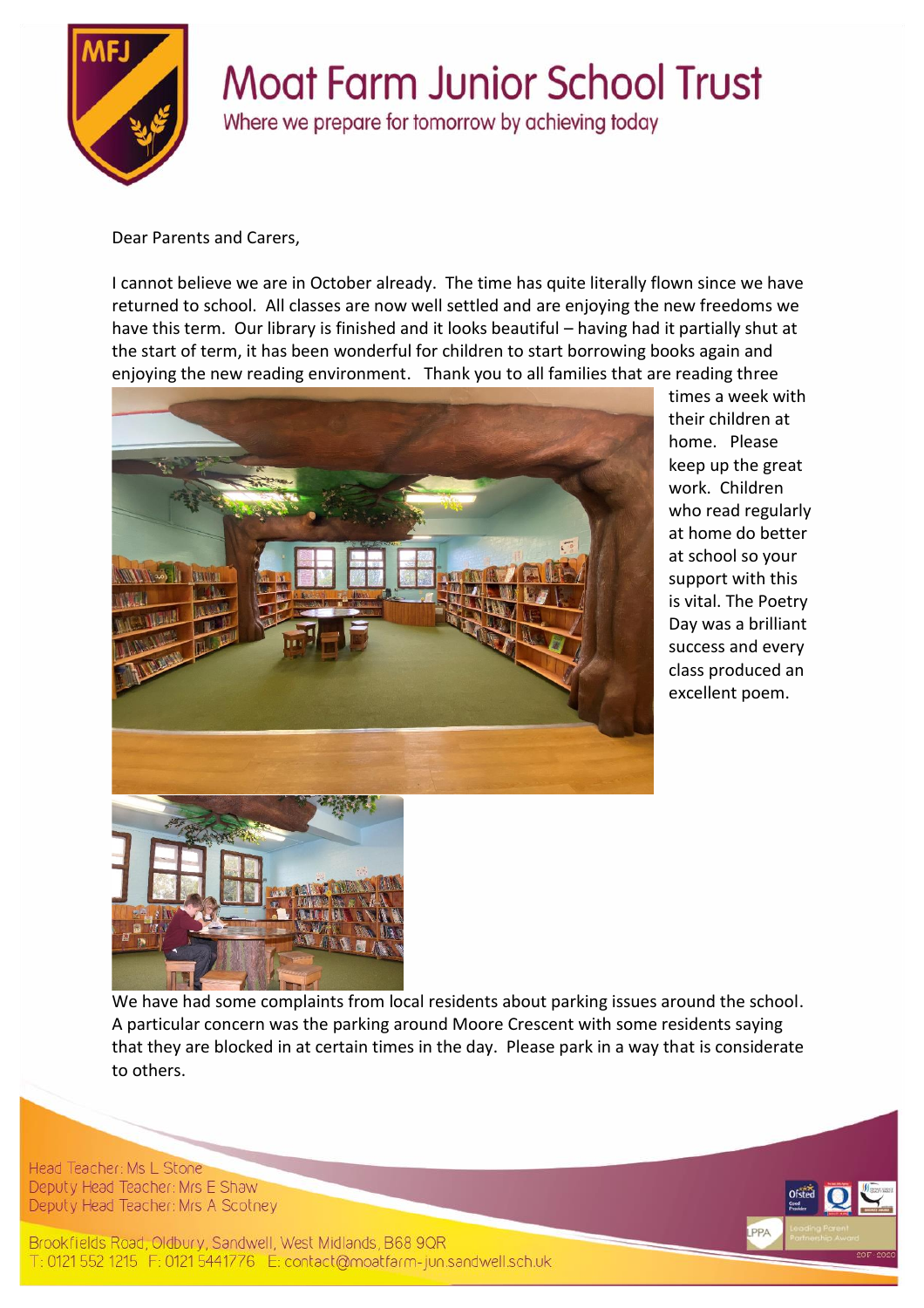

## **Moat Farm Junior School Trust**

Where we prepare for tomorrow by achieving today

Dear Parents and Carers,

I cannot believe we are in October already. The time has quite literally flown since we have returned to school. All classes are now well settled and are enjoying the new freedoms we have this term. Our library is finished and it looks beautiful – having had it partially shut at the start of term, it has been wonderful for children to start borrowing books again and enjoying the new reading environment. Thank you to all families that are reading three



times a week with their children at home. Please keep up the great work. Children who read regularly at home do better at school so your support with this is vital. The Poetry Day was a brilliant success and every class produced an excellent poem.

We have had some complaints from local residents about parking issues around the school. A particular concern was the parking around Moore Crescent with some residents saying that they are blocked in at certain times in the day. Please park in a way that is considerate to others.

Head Teacher: Ms L Stone Deputy Head Teacher: Mrs E Shaw Deputy Head Teacher: Mrs A Scotney